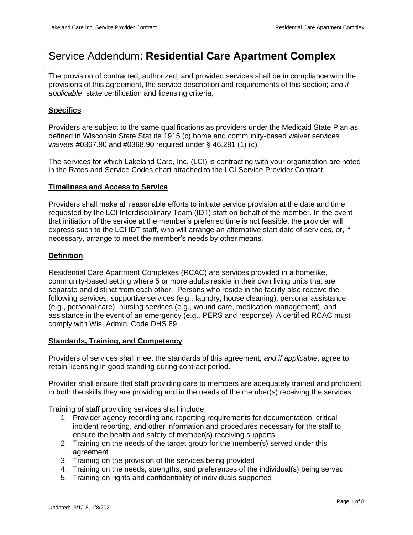# Service Addendum: **Residential Care Apartment Complex**

The provision of contracted, authorized, and provided services shall be in compliance with the provisions of this agreement, the service description and requirements of this section; *and if applicable*, state certification and licensing criteria.

## **Specifics**

Providers are subject to the same qualifications as providers under the Medicaid State Plan as defined in Wisconsin State Statute 1915 (c) home and community-based waiver services waivers #0367.90 and #0368.90 required under § 46.281 (1) (c).

The services for which Lakeland Care, Inc. (LCI) is contracting with your organization are noted in the Rates and Service Codes chart attached to the LCI Service Provider Contract.

#### **Timeliness and Access to Service**

Providers shall make all reasonable efforts to initiate service provision at the date and time requested by the LCI Interdisciplinary Team (IDT) staff on behalf of the member. In the event that initiation of the service at the member's preferred time is not feasible, the provider will express such to the LCI IDT staff, who will arrange an alternative start date of services, or, if necessary, arrange to meet the member's needs by other means.

## **Definition**

Residential Care Apartment Complexes (RCAC) are services provided in a homelike, community-based setting where 5 or more adults reside in their own living units that are separate and distinct from each other. Persons who reside in the facility also receive the following services: supportive services (e.g., laundry, house cleaning), personal assistance (e.g., personal care), nursing services (e.g., wound care, medication management), and assistance in the event of an emergency (e.g., PERS and response). A certified RCAC must comply with Wis. Admin. Code DHS 89.

#### **Standards, Training, and Competency**

Providers of services shall meet the standards of this agreement; *and if applicable*, agree to retain licensing in good standing during contract period.

Provider shall ensure that staff providing care to members are adequately trained and proficient in both the skills they are providing and in the needs of the member(s) receiving the services.

Training of staff providing services shall include:

- 1. Provider agency recording and reporting requirements for documentation, critical incident reporting, and other information and procedures necessary for the staff to ensure the health and safety of member(s) receiving supports
- 2. Training on the needs of the target group for the member(s) served under this agreement
- 3. Training on the provision of the services being provided
- 4. Training on the needs, strengths, and preferences of the individual(s) being served
- 5. Training on rights and confidentiality of individuals supported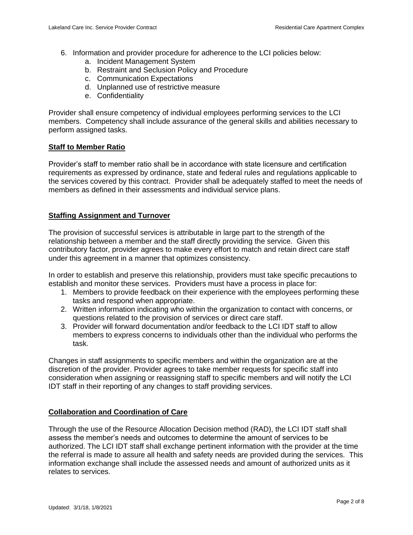- 6. Information and provider procedure for adherence to the LCI policies below:
	- a. Incident Management System
	- b. Restraint and Seclusion Policy and Procedure
	- c. Communication Expectations
	- d. Unplanned use of restrictive measure
	- e. Confidentiality

Provider shall ensure competency of individual employees performing services to the LCI members. Competency shall include assurance of the general skills and abilities necessary to perform assigned tasks.

# **Staff to Member Ratio**

Provider's staff to member ratio shall be in accordance with state licensure and certification requirements as expressed by ordinance, state and federal rules and regulations applicable to the services covered by this contract. Provider shall be adequately staffed to meet the needs of members as defined in their assessments and individual service plans.

# **Staffing Assignment and Turnover**

The provision of successful services is attributable in large part to the strength of the relationship between a member and the staff directly providing the service. Given this contributory factor, provider agrees to make every effort to match and retain direct care staff under this agreement in a manner that optimizes consistency.

In order to establish and preserve this relationship, providers must take specific precautions to establish and monitor these services. Providers must have a process in place for:

- 1. Members to provide feedback on their experience with the employees performing these tasks and respond when appropriate.
- 2. Written information indicating who within the organization to contact with concerns, or questions related to the provision of services or direct care staff.
- 3. Provider will forward documentation and/or feedback to the LCI IDT staff to allow members to express concerns to individuals other than the individual who performs the task.

Changes in staff assignments to specific members and within the organization are at the discretion of the provider. Provider agrees to take member requests for specific staff into consideration when assigning or reassigning staff to specific members and will notify the LCI IDT staff in their reporting of any changes to staff providing services.

# **Collaboration and Coordination of Care**

Through the use of the Resource Allocation Decision method (RAD), the LCI IDT staff shall assess the member's needs and outcomes to determine the amount of services to be authorized. The LCI IDT staff shall exchange pertinent information with the provider at the time the referral is made to assure all health and safety needs are provided during the services. This information exchange shall include the assessed needs and amount of authorized units as it relates to services.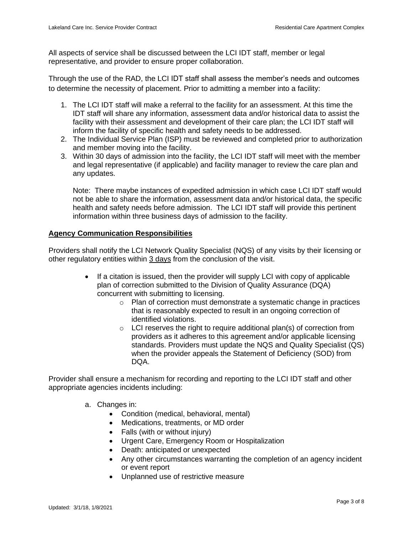All aspects of service shall be discussed between the LCI IDT staff, member or legal representative, and provider to ensure proper collaboration.

Through the use of the RAD, the LCI IDT staff shall assess the member's needs and outcomes to determine the necessity of placement. Prior to admitting a member into a facility:

- 1. The LCI IDT staff will make a referral to the facility for an assessment. At this time the IDT staff will share any information, assessment data and/or historical data to assist the facility with their assessment and development of their care plan; the LCI IDT staff will inform the facility of specific health and safety needs to be addressed.
- 2. The Individual Service Plan (ISP) must be reviewed and completed prior to authorization and member moving into the facility.
- 3. Within 30 days of admission into the facility, the LCI IDT staff will meet with the member and legal representative (if applicable) and facility manager to review the care plan and any updates.

Note: There maybe instances of expedited admission in which case LCI IDT staff would not be able to share the information, assessment data and/or historical data, the specific health and safety needs before admission. The LCI IDT staff will provide this pertinent information within three business days of admission to the facility.

## **Agency Communication Responsibilities**

Providers shall notify the LCI Network Quality Specialist (NQS) of any visits by their licensing or other regulatory entities within 3 days from the conclusion of the visit.

- If a citation is issued, then the provider will supply LCI with copy of applicable plan of correction submitted to the Division of Quality Assurance (DQA) concurrent with submitting to licensing.
	- $\circ$  Plan of correction must demonstrate a systematic change in practices that is reasonably expected to result in an ongoing correction of identified violations.
	- $\circ$  LCI reserves the right to require additional plan(s) of correction from providers as it adheres to this agreement and/or applicable licensing standards. Providers must update the NQS and Quality Specialist (QS) when the provider appeals the Statement of Deficiency (SOD) from DQA.

Provider shall ensure a mechanism for recording and reporting to the LCI IDT staff and other appropriate agencies incidents including:

- a. Changes in:
	- Condition (medical, behavioral, mental)
	- Medications, treatments, or MD order
	- Falls (with or without injury)
	- Urgent Care, Emergency Room or Hospitalization
	- Death: anticipated or unexpected
	- Any other circumstances warranting the completion of an agency incident or event report
	- Unplanned use of restrictive measure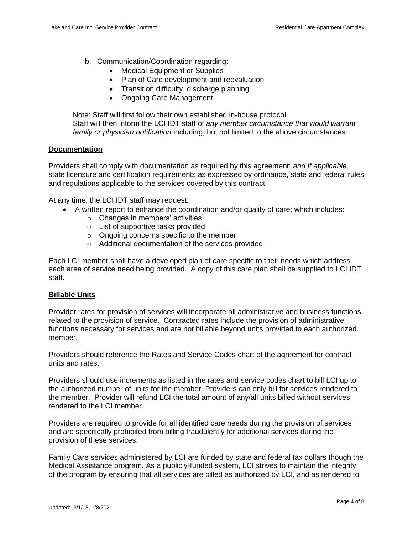- b. Communication/Coordination regarding:
	- Medical Equipment or Supplies
	- Plan of Care development and reevaluation
	- Transition difficulty, discharge planning
	- Ongoing Care Management

Note: Staff will first follow their own established in-house protocol. Staff will then inform the LCI IDT staff of *any member circumstance that would warrant family or physician notification* including, but not limited to the above circumstances.

#### **Documentation**

Providers shall comply with documentation as required by this agreement; *and if applicable*, state licensure and certification requirements as expressed by ordinance, state and federal rules and regulations applicable to the services covered by this contract.

At any time, the LCI IDT staff may request:

- A written report to enhance the coordination and/or quality of care; which includes:
	- o Changes in members' activities
	- o List of supportive tasks provided
	- $\circ$  Ongoing concerns specific to the member
	- o Additional documentation of the services provided

Each LCI member shall have a developed plan of care specific to their needs which address each area of service need being provided. A copy of this care plan shall be supplied to LCI IDT staff.

#### **Billable Units**

Provider rates for provision of services will incorporate all administrative and business functions related to the provision of service. Contracted rates include the provision of administrative functions necessary for services and are not billable beyond units provided to each authorized member.

Providers should reference the Rates and Service Codes chart of the agreement for contract units and rates.

Providers should use increments as listed in the rates and service codes chart to bill LCI up to the authorized number of units for the member. Providers can only bill for services rendered to the member. Provider will refund LCI the total amount of any/all units billed without services rendered to the LCI member.

Providers are required to provide for all identified care needs during the provision of services and are specifically prohibited from billing fraudulently for additional services during the provision of these services.

Family Care services administered by LCI are funded by state and federal tax dollars though the Medical Assistance program. As a publicly-funded system, LCI strives to maintain the integrity of the program by ensuring that all services are billed as authorized by LCI, and as rendered to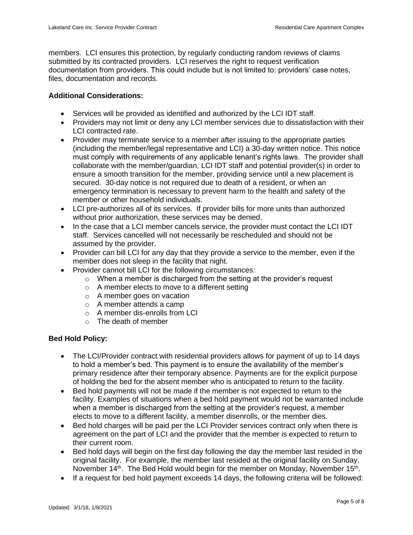members. LCI ensures this protection, by regularly conducting random reviews of claims submitted by its contracted providers. LCI reserves the right to request verification documentation from providers. This could include but is not limited to: providers' case notes, files, documentation and records.

## **Additional Considerations:**

- Services will be provided as identified and authorized by the LCI IDT staff.
- Providers may not limit or deny any LCI member services due to dissatisfaction with their LCI contracted rate.
- Provider may terminate service to a member after issuing to the appropriate parties (including the member/legal representative and LCI) a 30-day written notice. This notice must comply with requirements of any applicable tenant's rights laws. The provider shall collaborate with the member/guardian, LCI IDT staff and potential provider(s) in order to ensure a smooth transition for the member, providing service until a new placement is secured. 30-day notice is not required due to death of a resident, or when an emergency termination is necessary to prevent harm to the health and safety of the member or other household individuals.
- LCI pre-authorizes all of its services. If provider bills for more units than authorized without prior authorization, these services may be denied.
- In the case that a LCI member cancels service, the provider must contact the LCI IDT staff. Services cancelled will not necessarily be rescheduled and should not be assumed by the provider.
- Provider can bill LCI for any day that they provide a service to the member, even if the member does not sleep in the facility that night.
- Provider cannot bill LCI for the following circumstances:
	- o When a member is discharged from the setting at the provider's request
	- o A member elects to move to a different setting
	- o A member goes on vacation
	- o A member attends a camp
	- o A member dis-enrolls from LCI
	- o The death of member

## **Bed Hold Policy:**

- The LCI/Provider contract with residential providers allows for payment of up to 14 days to hold a member's bed. This payment is to ensure the availability of the member's primary residence after their temporary absence. Payments are for the explicit purpose of holding the bed for the absent member who is anticipated to return to the facility.
- Bed hold payments will not be made if the member is not expected to return to the facility. Examples of situations when a bed hold payment would not be warranted include when a member is discharged from the setting at the provider's request, a member elects to move to a different facility, a member disenrolls, or the member dies.
- Bed hold charges will be paid per the LCI Provider services contract only when there is agreement on the part of LCI and the provider that the member is expected to return to their current room.
- Bed hold days will begin on the first day following the day the member last resided in the original facility. For example, the member last resided at the original facility on Sunday, November 14<sup>th</sup>. The Bed Hold would begin for the member on Monday, November 15<sup>th</sup>.
- If a request for bed hold payment exceeds 14 days, the following criteria will be followed: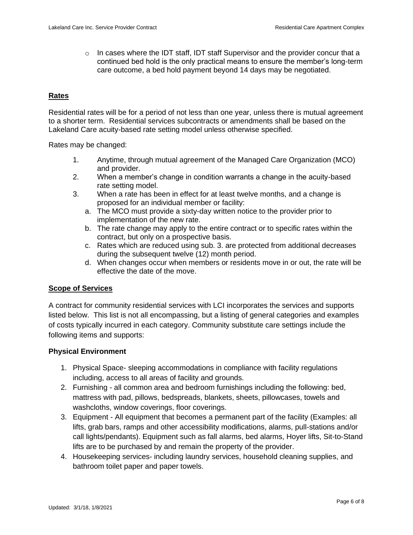$\circ$  In cases where the IDT staff, IDT staff Supervisor and the provider concur that a continued bed hold is the only practical means to ensure the member's long-term care outcome, a bed hold payment beyond 14 days may be negotiated.

#### **Rates**

Residential rates will be for a period of not less than one year, unless there is mutual agreement to a shorter term. Residential services subcontracts or amendments shall be based on the Lakeland Care acuity-based rate setting model unless otherwise specified.

Rates may be changed:

- 1. Anytime, through mutual agreement of the Managed Care Organization (MCO) and provider.
- 2. When a member's change in condition warrants a change in the acuity-based rate setting model.
- 3. When a rate has been in effect for at least twelve months, and a change is proposed for an individual member or facility:
	- a. The MCO must provide a sixty-day written notice to the provider prior to implementation of the new rate.
	- b. The rate change may apply to the entire contract or to specific rates within the contract, but only on a prospective basis.
	- c. Rates which are reduced using sub. 3. are protected from additional decreases during the subsequent twelve (12) month period.
	- d. When changes occur when members or residents move in or out, the rate will be effective the date of the move.

#### **Scope of Services**

A contract for community residential services with LCI incorporates the services and supports listed below. This list is not all encompassing, but a listing of general categories and examples of costs typically incurred in each category. Community substitute care settings include the following items and supports:

#### **Physical Environment**

- 1. Physical Space- sleeping accommodations in compliance with facility regulations including, access to all areas of facility and grounds.
- 2. Furnishing all common area and bedroom furnishings including the following: bed, mattress with pad, pillows, bedspreads, blankets, sheets, pillowcases, towels and washcloths, window coverings, floor coverings.
- 3. Equipment All equipment that becomes a permanent part of the facility (Examples: all lifts, grab bars, ramps and other accessibility modifications, alarms, pull-stations and/or call lights/pendants). Equipment such as fall alarms, bed alarms, Hoyer lifts, Sit-to-Stand lifts are to be purchased by and remain the property of the provider.
- 4. Housekeeping services- including laundry services, household cleaning supplies, and bathroom toilet paper and paper towels.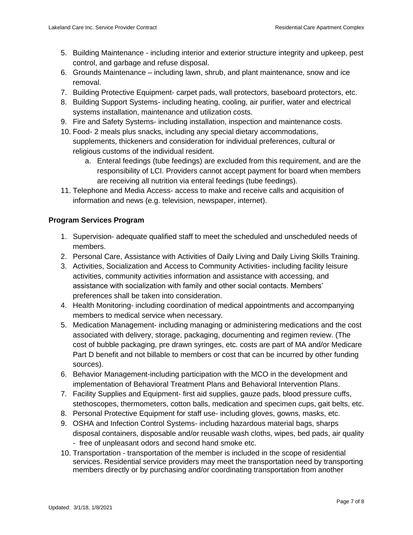- 5. Building Maintenance including interior and exterior structure integrity and upkeep, pest control, and garbage and refuse disposal.
- 6. Grounds Maintenance including lawn, shrub, and plant maintenance, snow and ice removal.
- 7. Building Protective Equipment- carpet pads, wall protectors, baseboard protectors, etc.
- 8. Building Support Systems- including heating, cooling, air purifier, water and electrical systems installation, maintenance and utilization costs.
- 9. Fire and Safety Systems- including installation, inspection and maintenance costs.
- 10. Food- 2 meals plus snacks, including any special dietary accommodations, supplements, thickeners and consideration for individual preferences, cultural or religious customs of the individual resident.
	- a. Enteral feedings (tube feedings) are excluded from this requirement, and are the responsibility of LCI. Providers cannot accept payment for board when members are receiving all nutrition via enteral feedings (tube feedings).
- 11. Telephone and Media Access- access to make and receive calls and acquisition of information and news (e.g. television, newspaper, internet).

# **Program Services Program**

- 1. Supervision- adequate qualified staff to meet the scheduled and unscheduled needs of members.
- 2. Personal Care, Assistance with Activities of Daily Living and Daily Living Skills Training.
- 3. Activities, Socialization and Access to Community Activities- including facility leisure activities, community activities information and assistance with accessing, and assistance with socialization with family and other social contacts. Members' preferences shall be taken into consideration.
- 4. Health Monitoring- including coordination of medical appointments and accompanying members to medical service when necessary.
- 5. Medication Management- including managing or administering medications and the cost associated with delivery, storage, packaging, documenting and regimen review. (The cost of bubble packaging, pre drawn syringes, etc. costs are part of MA and/or Medicare Part D benefit and not billable to members or cost that can be incurred by other funding sources).
- 6. Behavior Management-including participation with the MCO in the development and implementation of Behavioral Treatment Plans and Behavioral Intervention Plans.
- 7. Facility Supplies and Equipment- first aid supplies, gauze pads, blood pressure cuffs, stethoscopes, thermometers, cotton balls, medication and specimen cups, gait belts, etc.
- 8. Personal Protective Equipment for staff use- including gloves, gowns, masks, etc.
- 9. OSHA and Infection Control Systems- including hazardous material bags, sharps disposal containers, disposable and/or reusable wash cloths, wipes, bed pads, air quality - free of unpleasant odors and second hand smoke etc.
- 10. Transportation transportation of the member is included in the scope of residential services. Residential service providers may meet the transportation need by transporting members directly or by purchasing and/or coordinating transportation from another